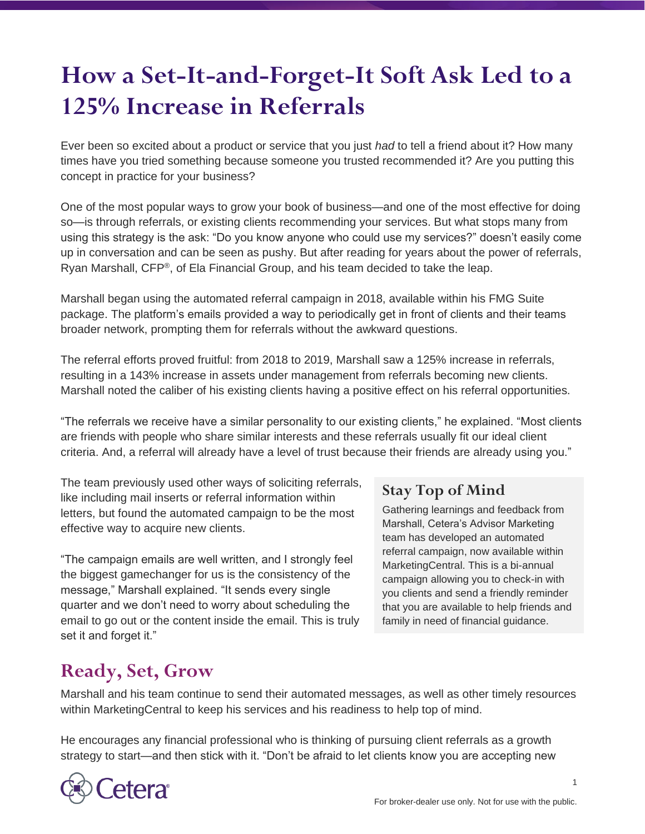## **How a Set-It-and-Forget-It Soft Ask Led to a 125% Increase in Referrals**

Ever been so excited about a product or service that you just *had* to tell a friend about it? How many times have you tried something because someone you trusted recommended it? Are you putting this concept in practice for your business?

One of the most popular ways to grow your book of business—and one of the most effective for doing so—is through referrals, or existing clients recommending your services. But what stops many from using this strategy is the ask: "Do you know anyone who could use my services?" doesn't easily come up in conversation and can be seen as pushy. But after reading for years about the power of referrals, Ryan Marshall, CFP®, of Ela Financial Group, and his team decided to take the leap.

Marshall began using the automated referral campaign in 2018, available within his FMG Suite package. The platform's emails provided a way to periodically get in front of clients and their teams broader network, prompting them for referrals without the awkward questions.

The referral efforts proved fruitful: from 2018 to 2019, Marshall saw a 125% increase in referrals, resulting in a 143% increase in assets under management from referrals becoming new clients. Marshall noted the caliber of his existing clients having a positive effect on his referral opportunities.

"The referrals we receive have a similar personality to our existing clients," he explained. "Most clients are friends with people who share similar interests and these referrals usually fit our ideal client criteria. And, a referral will already have a level of trust because their friends are already using you."

The team previously used other ways of soliciting referrals, like including mail inserts or referral information within letters, but found the automated campaign to be the most effective way to acquire new clients.

"The campaign emails are well written, and I strongly feel the biggest gamechanger for us is the consistency of the message," Marshall explained. "It sends every single quarter and we don't need to worry about scheduling the email to go out or the content inside the email. This is truly set it and forget it."

## **Stay Top of Mind**

Gathering learnings and feedback from Marshall, Cetera's Advisor Marketing team has developed an automated referral campaign, now available within MarketingCentral. This is a bi-annual campaign allowing you to check-in with you clients and send a friendly reminder that you are available to help friends and family in need of financial guidance.

## **Ready, Set, Grow**

Marshall and his team continue to send their automated messages, as well as other timely resources within MarketingCentral to keep his services and his readiness to help top of mind.

He encourages any financial professional who is thinking of pursuing client referrals as a growth strategy to start—and then stick with it. "Don't be afraid to let clients know you are accepting new